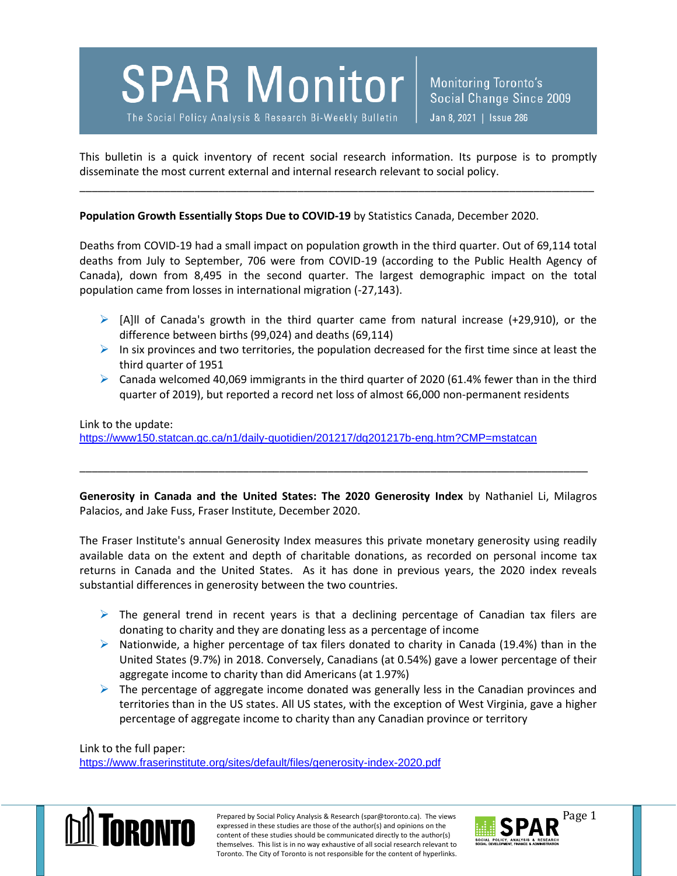

Monitoring Toronto's Social Change Since 2009 Jan 8, 2021 | Issue 286

This bulletin is a quick inventory of recent social research information. Its purpose is to promptly disseminate the most current external and internal research relevant to social policy.

\_\_\_\_\_\_\_\_\_\_\_\_\_\_\_\_\_\_\_\_\_\_\_\_\_\_\_\_\_\_\_\_\_\_\_\_\_\_\_\_\_\_\_\_\_\_\_\_\_\_\_\_\_\_\_\_\_\_\_\_\_\_\_\_\_\_\_\_\_\_\_\_\_\_\_\_\_\_\_\_\_\_\_\_\_

**Population Growth Essentially Stops Due to COVID-19** by Statistics Canada, December 2020.

Deaths from COVID-19 had a small impact on population growth in the third quarter. Out of 69,114 total deaths from July to September, 706 were from COVID-19 (according to the Public Health Agency of Canada), down from 8,495 in the second quarter. The largest demographic impact on the total population came from losses in international migration (-27,143).

- $\triangleright$  [A]II of Canada's growth in the third quarter came from natural increase (+29,910), or the difference between births (99,024) and deaths (69,114)
- $\triangleright$  In six provinces and two territories, the population decreased for the first time since at least the third quarter of 1951
- $\triangleright$  Canada welcomed 40,069 immigrants in the third quarter of 2020 (61.4% fewer than in the third quarter of 2019), but reported a record net loss of almost 66,000 non-permanent residents

Link to the update: <https://www150.statcan.gc.ca/n1/daily-quotidien/201217/dq201217b-eng.htm?CMP=mstatcan>

**Generosity in Canada and the United States: The 2020 Generosity Index** by Nathaniel Li, Milagros Palacios, and Jake Fuss, Fraser Institute, December 2020.

\_\_\_\_\_\_\_\_\_\_\_\_\_\_\_\_\_\_\_\_\_\_\_\_\_\_\_\_\_\_\_\_\_\_\_\_\_\_\_\_\_\_\_\_\_\_\_\_\_\_\_\_\_\_\_\_\_\_\_\_\_\_\_\_\_\_\_\_\_\_\_\_\_\_\_\_\_\_\_\_\_\_\_\_

The Fraser Institute's annual Generosity Index measures this private monetary generosity using readily available data on the extent and depth of charitable donations, as recorded on personal income tax returns in Canada and the United States. As it has done in previous years, the 2020 index reveals substantial differences in generosity between the two countries.

- $\triangleright$  The general trend in recent years is that a declining percentage of Canadian tax filers are donating to charity and they are donating less as a percentage of income
- $\triangleright$  Nationwide, a higher percentage of tax filers donated to charity in Canada (19.4%) than in the United States (9.7%) in 2018. Conversely, Canadians (at 0.54%) gave a lower percentage of their aggregate income to charity than did Americans (at 1.97%)
- $\triangleright$  The percentage of aggregate income donated was generally less in the Canadian provinces and territories than in the US states. All US states, with the exception of West Virginia, gave a higher percentage of aggregate income to charity than any Canadian province or territory

Link to the full paper: <https://www.fraserinstitute.org/sites/default/files/generosity-index-2020.pdf>



Prepared by Social Policy Analysis & Research (spar@toronto.ca). The views Page 1 expressed in these studies are those of the author(s) and opinions on the content of these studies should be communicated directly to the author(s) themselves. This list is in no way exhaustive of all social research relevant to Toronto. The City of Toronto is not responsible for the content of hyperlinks.

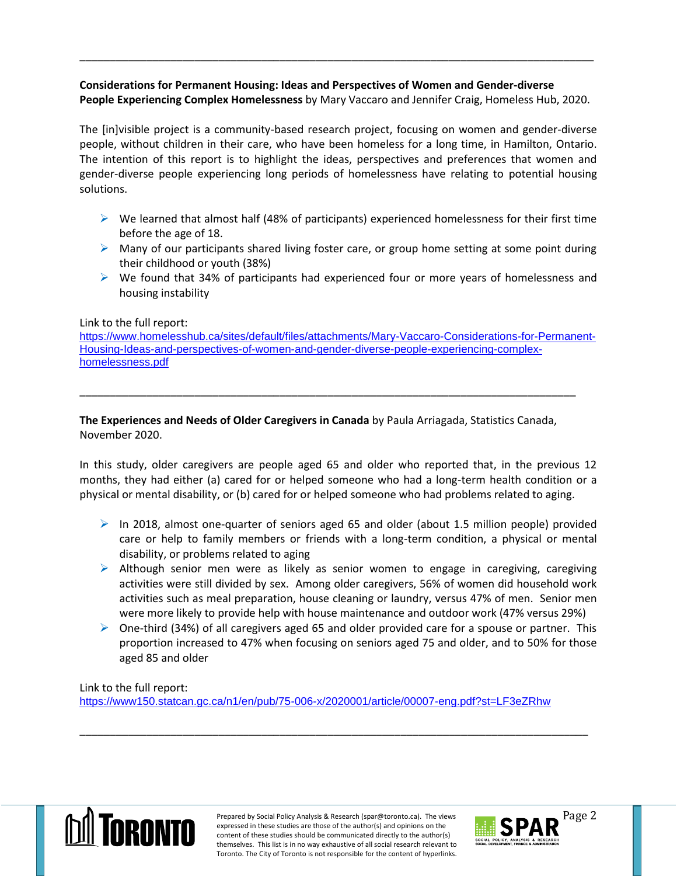## **Considerations for Permanent Housing: Ideas and Perspectives of Women and Gender-diverse People Experiencing Complex Homelessness** by Mary Vaccaro and Jennifer Craig, Homeless Hub, 2020.

\_\_\_\_\_\_\_\_\_\_\_\_\_\_\_\_\_\_\_\_\_\_\_\_\_\_\_\_\_\_\_\_\_\_\_\_\_\_\_\_\_\_\_\_\_\_\_\_\_\_\_\_\_\_\_\_\_\_\_\_\_\_\_\_\_\_\_\_\_\_\_\_\_\_\_\_\_\_\_\_\_\_\_\_\_

The [in]visible project is a community-based research project, focusing on women and gender-diverse people, without children in their care, who have been homeless for a long time, in Hamilton, Ontario. The intention of this report is to highlight the ideas, perspectives and preferences that women and gender-diverse people experiencing long periods of homelessness have relating to potential housing solutions.

- $\triangleright$  We learned that almost half (48% of participants) experienced homelessness for their first time before the age of 18.
- $\triangleright$  Many of our participants shared living foster care, or group home setting at some point during their childhood or youth (38%)
- $\triangleright$  We found that 34% of participants had experienced four or more years of homelessness and housing instability

## Link to the full report:

[https://www.homelesshub.ca/sites/default/files/attachments/Mary-Vaccaro-Considerations-for-Permanent-](https://www.homelesshub.ca/sites/default/files/attachments/Mary-Vaccaro-Considerations-for-Permanent-Housing-Ideas-and-perspectives-of-women-and-gender-diverse-people-experiencing-complex-homelessness.pdf)[Housing-Ideas-and-perspectives-of-women-and-gender-diverse-people-experiencing-complex](https://www.homelesshub.ca/sites/default/files/attachments/Mary-Vaccaro-Considerations-for-Permanent-Housing-Ideas-and-perspectives-of-women-and-gender-diverse-people-experiencing-complex-homelessness.pdf)[homelessness.pdf](https://www.homelesshub.ca/sites/default/files/attachments/Mary-Vaccaro-Considerations-for-Permanent-Housing-Ideas-and-perspectives-of-women-and-gender-diverse-people-experiencing-complex-homelessness.pdf)

**The Experiences and Needs of Older Caregivers in Canada** by Paula Arriagada, Statistics Canada, November 2020.

\_\_\_\_\_\_\_\_\_\_\_\_\_\_\_\_\_\_\_\_\_\_\_\_\_\_\_\_\_\_\_\_\_\_\_\_\_\_\_\_\_\_\_\_\_\_\_\_\_\_\_\_\_\_\_\_\_\_\_\_\_\_\_\_\_\_\_\_\_\_\_\_\_\_\_\_\_\_\_\_\_\_

In this study, older caregivers are people aged 65 and older who reported that, in the previous 12 months, they had either (a) cared for or helped someone who had a long-term health condition or a physical or mental disability, or (b) cared for or helped someone who had problems related to aging.

- $\triangleright$  In 2018, almost one-quarter of seniors aged 65 and older (about 1.5 million people) provided care or help to family members or friends with a long-term condition, a physical or mental disability, or problems related to aging
- $\triangleright$  Although senior men were as likely as senior women to engage in caregiving, caregiving activities were still divided by sex. Among older caregivers, 56% of women did household work activities such as meal preparation, house cleaning or laundry, versus 47% of men. Senior men were more likely to provide help with house maintenance and outdoor work (47% versus 29%)
- $\triangleright$  One-third (34%) of all caregivers aged 65 and older provided care for a spouse or partner. This proportion increased to 47% when focusing on seniors aged 75 and older, and to 50% for those aged 85 and older

Link to the full report:

<https://www150.statcan.gc.ca/n1/en/pub/75-006-x/2020001/article/00007-eng.pdf?st=LF3eZRhw>

\_\_\_\_\_\_\_\_\_\_\_\_\_\_\_\_\_\_\_\_\_\_\_\_\_\_\_\_\_\_\_\_\_\_\_\_\_\_\_\_\_\_\_\_\_\_\_\_\_\_\_\_\_\_\_\_\_\_\_\_\_\_\_\_\_\_\_\_\_\_\_\_\_\_\_\_\_\_\_\_\_\_\_\_



Prepared by Social Policy Analysis & Research (spar@toronto.ca). The views Page 2 expressed in these studies are those of the author(s) and opinions on the content of these studies should be communicated directly to the author(s) themselves. This list is in no way exhaustive of all social research relevant to Toronto. The City of Toronto is not responsible for the content of hyperlinks.